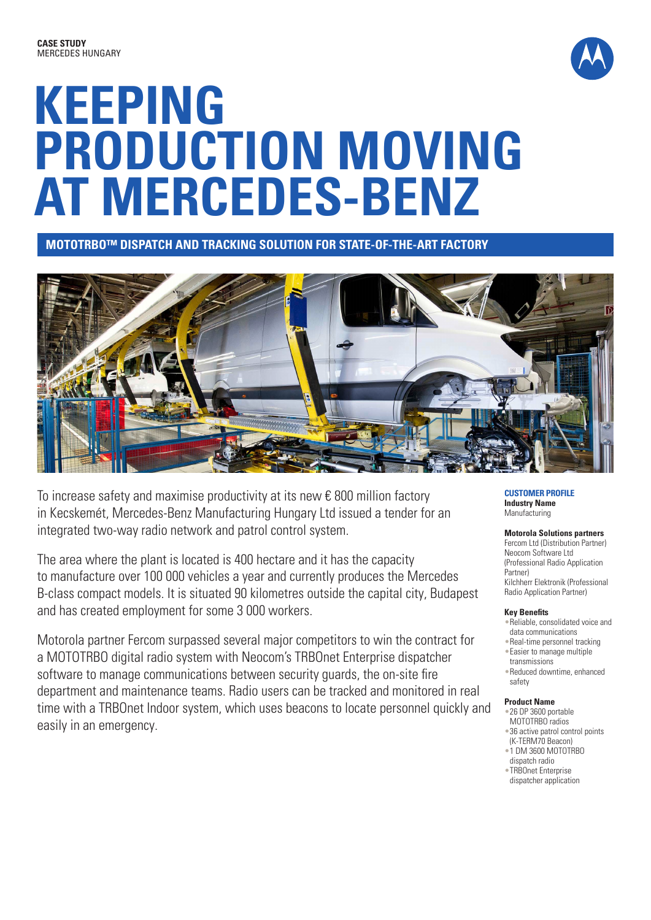

# **KEEPING PRODUCTION MOVING AT MERCEDES-BENZ**

**MOTOTRBO™ DISPATCH AND TRACKING SOLUTION FOR STATE-OF-THE-ART FACTORY**



To increase safety and maximise productivity at its new € 800 million factory in Kecskemét, Mercedes-Benz Manufacturing Hungary Ltd issued a tender for an integrated two-way radio network and patrol control system.

The area where the plant is located is 400 hectare and it has the capacity to manufacture over 100 000 vehicles a year and currently produces the Mercedes B-class compact models. It is situated 90 kilometres outside the capital city, Budapest and has created employment for some 3 000 workers.

Motorola partner Fercom surpassed several major competitors to win the contract for a MOTOTRBO digital radio system with Neocom's TRBOnet Enterprise dispatcher software to manage communications between security guards, the on-site fire department and maintenance teams. Radio users can be tracked and monitored in real time with a TRBOnet Indoor system, which uses beacons to locate personnel quickly and easily in an emergency.

**CUSTOMER PROFILE Industry Name** Manufacturing

**Motorola Solutions partners** Fercom Ltd (Distribution Partner)

Neocom Software Ltd (Professional Radio Application Partner) Kilchherr Elektronik (Professional Radio Application Partner)

#### **Key Benefits**

- •Reliable, consolidated voice and data communications
- •Real-time personnel tracking
- •Easier to manage multiple
- transmissions •Reduced downtime, enhanced
- safety

#### **Product Name**

- •26 DP 3600 portable MOTOTRBO radios
- •36 active patrol control points (K-TERM70 Beacon)
- •1 DM 3600 MOTOTRBO
- dispatch radio •TRBOnet Enterprise
- dispatcher application